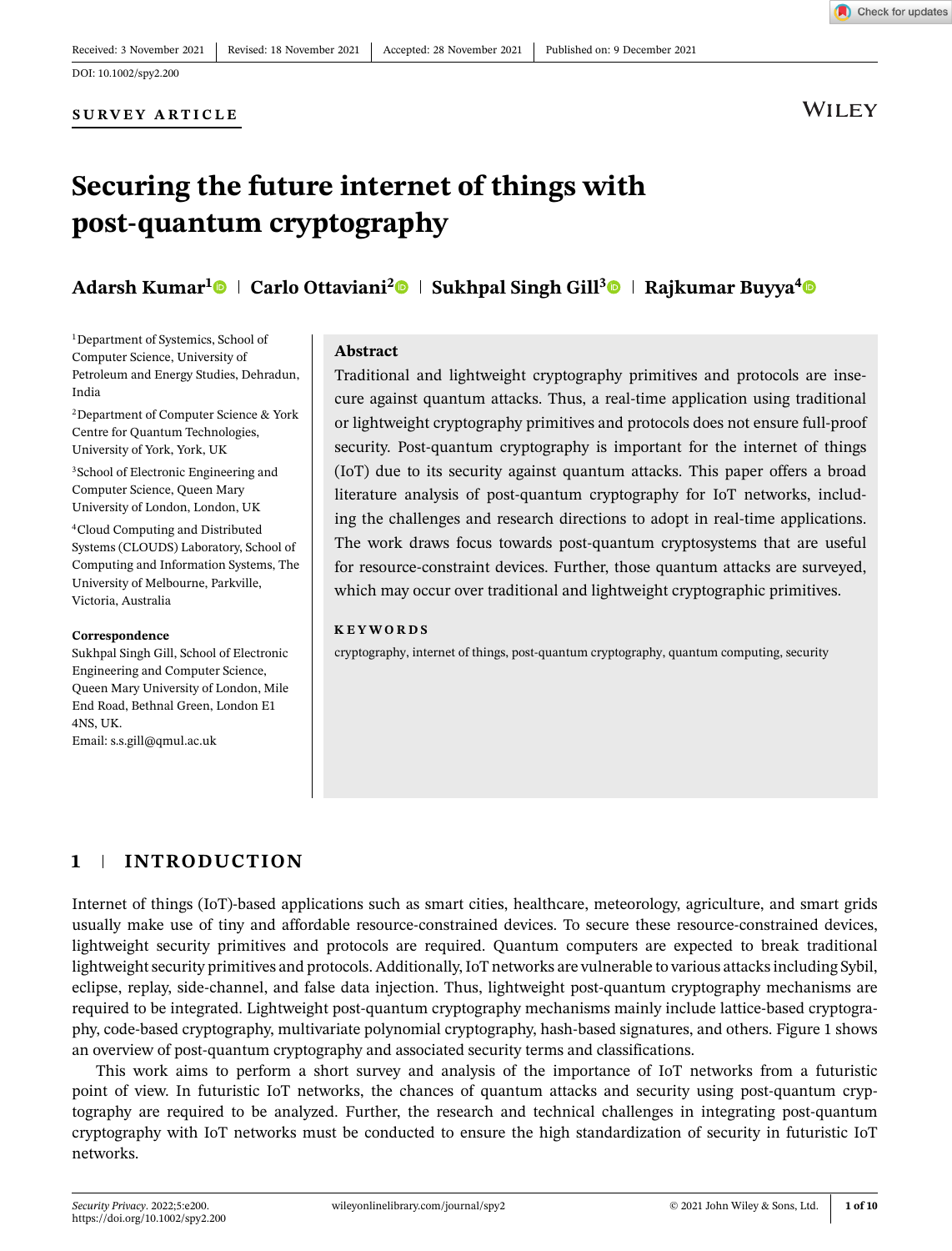#### **SURVEY ARTICLE**

**WILEY** 

Check for updates

# **Securing the future internet of things with post-quantum cryptography**

## **Adarsh Kumar<sup>[1](https://orcid.org/0000-0003-2919-6302)</sup> • Carlo Ottaviani<sup>[2](https://orcid.org/0000-0002-0032-3999)</sup> • Sukhpal Singh Gill<sup>[3](https://orcid.org/0000-0002-3913-0369)</sup> • Rajkumar Buyya<sup>[4](https://orcid.org/0000-0001-9754-6496)</sup> •**

<sup>1</sup>Department of Systemics, School of Computer Science, University of Petroleum and Energy Studies, Dehradun, India

2Department of Computer Science & York Centre for Quantum Technologies, University of York, York, UK

3School of Electronic Engineering and Computer Science, Queen Mary University of London, London, UK

4Cloud Computing and Distributed Systems (CLOUDS) Laboratory, School of Computing and Information Systems, The University of Melbourne, Parkville, Victoria, Australia

#### **Correspondence**

Sukhpal Singh Gill, School of Electronic Engineering and Computer Science, Queen Mary University of London, Mile End Road, Bethnal Green, London E1 4NS, UK.

Email: s.s.gill@qmul.ac.uk

#### **Abstract**

Traditional and lightweight cryptography primitives and protocols are insecure against quantum attacks. Thus, a real-time application using traditional or lightweight cryptography primitives and protocols does not ensure full-proof security. Post-quantum cryptography is important for the internet of things (IoT) due to its security against quantum attacks. This paper offers a broad literature analysis of post-quantum cryptography for IoT networks, including the challenges and research directions to adopt in real-time applications. The work draws focus towards post-quantum cryptosystems that are useful for resource-constraint devices. Further, those quantum attacks are surveyed, which may occur over traditional and lightweight cryptographic primitives.

#### **KEYWORDS**

cryptography, internet of things, post-quantum cryptography, quantum computing, security

## **1 INTRODUCTION**

Internet of things (IoT)-based applications such as smart cities, healthcare, meteorology, agriculture, and smart grids usually make use of tiny and affordable resource-constrained devices. To secure these resource-constrained devices, lightweight security primitives and protocols are required. Quantum computers are expected to break traditional lightweight security primitives and protocols. Additionally, IoT networks are vulnerable to various attacks including Sybil, eclipse, replay, side-channel, and false data injection. Thus, lightweight post-quantum cryptography mechanisms are required to be integrated. Lightweight post-quantum cryptography mechanisms mainly include lattice-based cryptography, code-based cryptography, multivariate polynomial cryptography, hash-based signatures, and others. Figure 1 shows an overview of post-quantum cryptography and associated security terms and classifications.

This work aims to perform a short survey and analysis of the importance of IoT networks from a futuristic point of view. In futuristic IoT networks, the chances of quantum attacks and security using post-quantum cryptography are required to be analyzed. Further, the research and technical challenges in integrating post-quantum cryptography with IoT networks must be conducted to ensure the high standardization of security in futuristic IoT networks.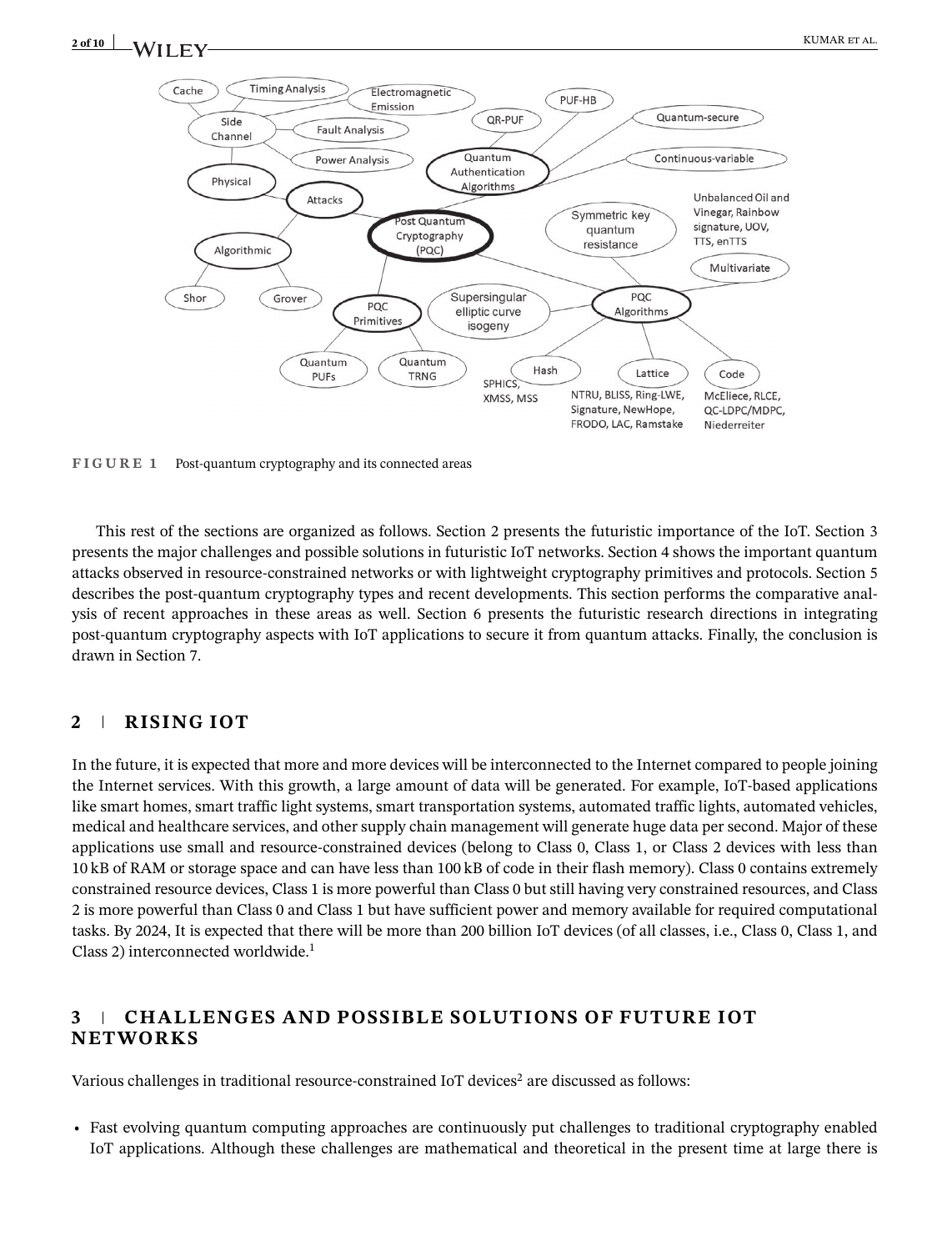

**FIGURE 1** Post-quantum cryptography and its connected areas

This rest of the sections are organized as follows. Section 2 presents the futuristic importance of the IoT. Section 3 presents the major challenges and possible solutions in futuristic IoT networks. Section 4 shows the important quantum attacks observed in resource-constrained networks or with lightweight cryptography primitives and protocols. Section 5 describes the post-quantum cryptography types and recent developments. This section performs the comparative analysis of recent approaches in these areas as well. Section 6 presents the futuristic research directions in integrating post-quantum cryptography aspects with IoT applications to secure it from quantum attacks. Finally, the conclusion is drawn in Section 7.

**SPHICS** 

XMSS, MSS

NTRU, BLISS, Ring-LWE,

FRODO, LAC, Ramstake

Signature, NewHope,

McEliece, RLCE,

QC-LDPC/MDPC,

Niederreiter

### **2 RISING IOT**

In the future, it is expected that more and more devices will be interconnected to the Internet compared to people joining the Internet services. With this growth, a large amount of data will be generated. For example, IoT-based applications like smart homes, smart traffic light systems, smart transportation systems, automated traffic lights, automated vehicles, medical and healthcare services, and other supply chain management will generate huge data per second. Major of these applications use small and resource-constrained devices (belong to Class 0, Class 1, or Class 2 devices with less than 10 kB of RAM or storage space and can have less than 100 kB of code in their flash memory). Class 0 contains extremely constrained resource devices, Class 1 is more powerful than Class 0 but still having very constrained resources, and Class 2 is more powerful than Class 0 and Class 1 but have sufficient power and memory available for required computational tasks. By 2024, It is expected that there will be more than 200 billion IoT devices (of all classes, i.e., Class 0, Class 1, and Class 2) interconnected worldwide.<sup>1</sup>

## **3 CHALLENGES AND POSSIBLE SOLUTIONS OF FUTURE IOT NETWORKS**

Various challenges in traditional resource-constrained IoT devices<sup>2</sup> are discussed as follows:

**•** Fast evolving quantum computing approaches are continuously put challenges to traditional cryptography enabled IoT applications. Although these challenges are mathematical and theoretical in the present time at large there is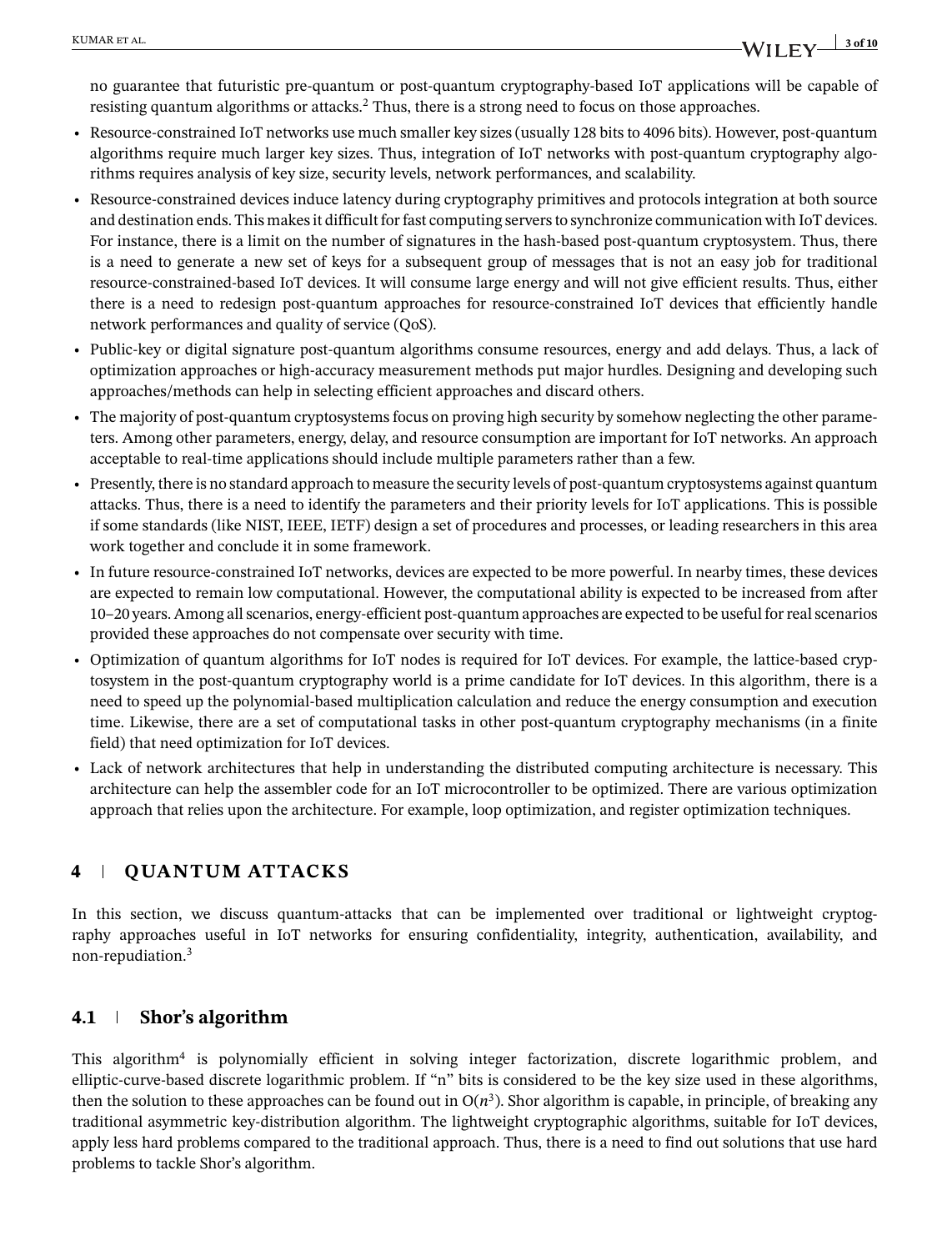no guarantee that futuristic pre-quantum or post-quantum cryptography-based IoT applications will be capable of resisting quantum algorithms or attacks.2 Thus, there is a strong need to focus on those approaches.

- **•** Resource-constrained IoT networks use much smaller key sizes (usually 128 bits to 4096 bits). However, post-quantum algorithms require much larger key sizes. Thus, integration of IoT networks with post-quantum cryptography algorithms requires analysis of key size, security levels, network performances, and scalability.
- **•** Resource-constrained devices induce latency during cryptography primitives and protocols integration at both source and destination ends. This makes it difficult for fast computing servers to synchronize communication with IoT devices. For instance, there is a limit on the number of signatures in the hash-based post-quantum cryptosystem. Thus, there is a need to generate a new set of keys for a subsequent group of messages that is not an easy job for traditional resource-constrained-based IoT devices. It will consume large energy and will not give efficient results. Thus, either there is a need to redesign post-quantum approaches for resource-constrained IoT devices that efficiently handle network performances and quality of service (QoS).
- **•** Public-key or digital signature post-quantum algorithms consume resources, energy and add delays. Thus, a lack of optimization approaches or high-accuracy measurement methods put major hurdles. Designing and developing such approaches/methods can help in selecting efficient approaches and discard others.
- **•** The majority of post-quantum cryptosystems focus on proving high security by somehow neglecting the other parameters. Among other parameters, energy, delay, and resource consumption are important for IoT networks. An approach acceptable to real-time applications should include multiple parameters rather than a few.
- **•** Presently, there is no standard approach to measure the security levels of post-quantum cryptosystems against quantum attacks. Thus, there is a need to identify the parameters and their priority levels for IoT applications. This is possible if some standards (like NIST, IEEE, IETF) design a set of procedures and processes, or leading researchers in this area work together and conclude it in some framework.
- **•** In future resource-constrained IoT networks, devices are expected to be more powerful. In nearby times, these devices are expected to remain low computational. However, the computational ability is expected to be increased from after 10–20 years. Among all scenarios, energy-efficient post-quantum approaches are expected to be useful for real scenarios provided these approaches do not compensate over security with time.
- **•** Optimization of quantum algorithms for IoT nodes is required for IoT devices. For example, the lattice-based cryptosystem in the post-quantum cryptography world is a prime candidate for IoT devices. In this algorithm, there is a need to speed up the polynomial-based multiplication calculation and reduce the energy consumption and execution time. Likewise, there are a set of computational tasks in other post-quantum cryptography mechanisms (in a finite field) that need optimization for IoT devices.
- **•** Lack of network architectures that help in understanding the distributed computing architecture is necessary. This architecture can help the assembler code for an IoT microcontroller to be optimized. There are various optimization approach that relies upon the architecture. For example, loop optimization, and register optimization techniques.

## **4 QUANTUM ATTACKS**

In this section, we discuss quantum-attacks that can be implemented over traditional or lightweight cryptography approaches useful in IoT networks for ensuring confidentiality, integrity, authentication, availability, and non-repudiation.<sup>3</sup>

## **4.1 Shor's algorithm**

This algorithm4 is polynomially efficient in solving integer factorization, discrete logarithmic problem, and elliptic-curve-based discrete logarithmic problem. If "n" bits is considered to be the key size used in these algorithms, then the solution to these approaches can be found out in  $O(n^3)$ . Shor algorithm is capable, in principle, of breaking any traditional asymmetric key-distribution algorithm. The lightweight cryptographic algorithms, suitable for IoT devices, apply less hard problems compared to the traditional approach. Thus, there is a need to find out solutions that use hard problems to tackle Shor's algorithm.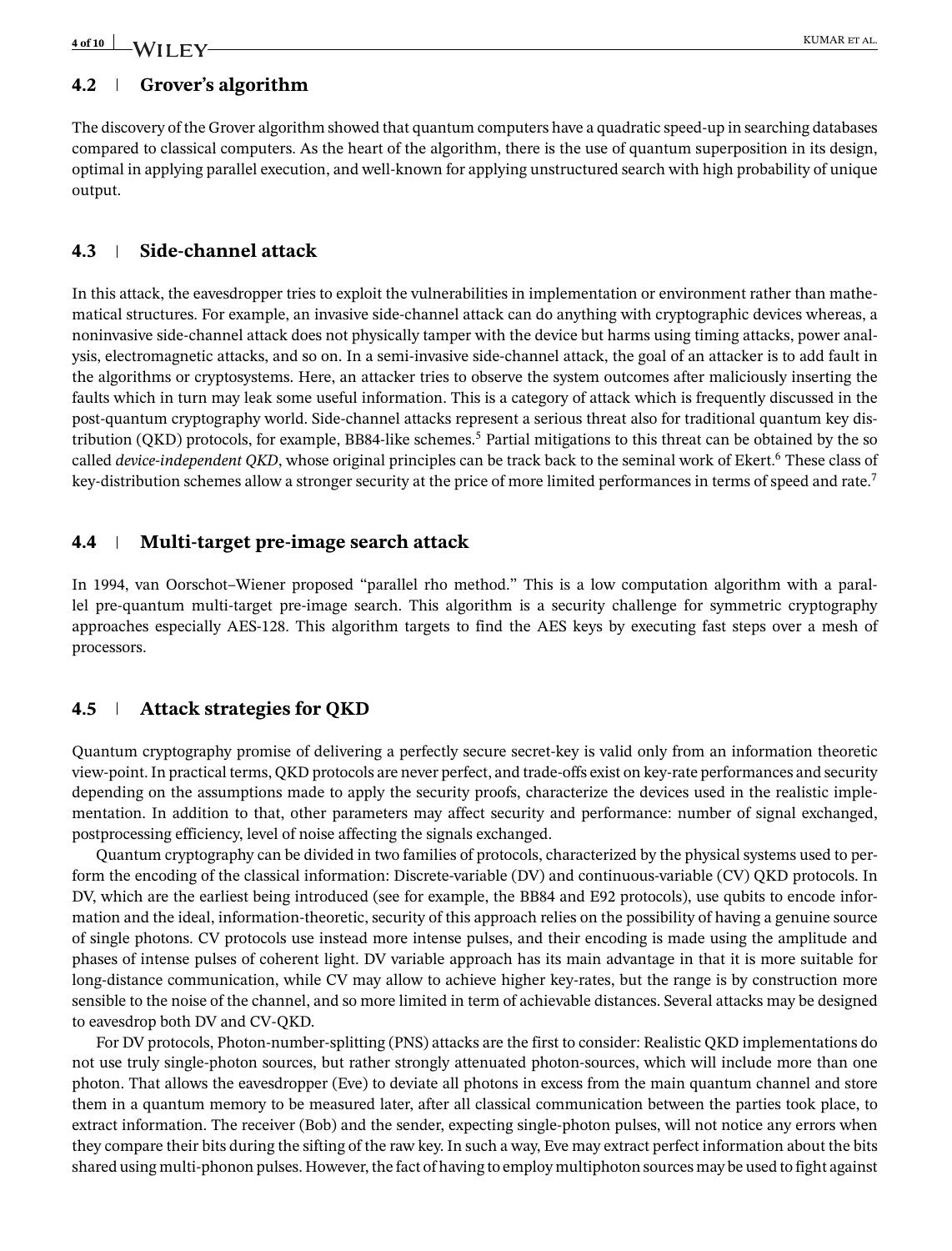## **4.2 Grover's algorithm**

The discovery of the Grover algorithm showed that quantum computers have a quadratic speed-up in searching databases compared to classical computers. As the heart of the algorithm, there is the use of quantum superposition in its design, optimal in applying parallel execution, and well-known for applying unstructured search with high probability of unique output.

### **4.3 Side-channel attack**

In this attack, the eavesdropper tries to exploit the vulnerabilities in implementation or environment rather than mathematical structures. For example, an invasive side-channel attack can do anything with cryptographic devices whereas, a noninvasive side-channel attack does not physically tamper with the device but harms using timing attacks, power analysis, electromagnetic attacks, and so on. In a semi-invasive side-channel attack, the goal of an attacker is to add fault in the algorithms or cryptosystems. Here, an attacker tries to observe the system outcomes after maliciously inserting the faults which in turn may leak some useful information. This is a category of attack which is frequently discussed in the post-quantum cryptography world. Side-channel attacks represent a serious threat also for traditional quantum key distribution (QKD) protocols, for example, BB84-like schemes.<sup>5</sup> Partial mitigations to this threat can be obtained by the so called *device-independent QKD*, whose original principles can be track back to the seminal work of Ekert.<sup>6</sup> These class of key-distribution schemes allow a stronger security at the price of more limited performances in terms of speed and rate.<sup>7</sup>

### **4.4 Multi-target pre-image search attack**

In 1994, van Oorschot–Wiener proposed "parallel rho method." This is a low computation algorithm with a parallel pre-quantum multi-target pre-image search. This algorithm is a security challenge for symmetric cryptography approaches especially AES-128. This algorithm targets to find the AES keys by executing fast steps over a mesh of processors.

#### **4.5 Attack strategies for QKD**

Quantum cryptography promise of delivering a perfectly secure secret-key is valid only from an information theoretic view-point. In practical terms, QKD protocols are never perfect, and trade-offs exist on key-rate performances and security depending on the assumptions made to apply the security proofs, characterize the devices used in the realistic implementation. In addition to that, other parameters may affect security and performance: number of signal exchanged, postprocessing efficiency, level of noise affecting the signals exchanged.

Quantum cryptography can be divided in two families of protocols, characterized by the physical systems used to perform the encoding of the classical information: Discrete-variable (DV) and continuous-variable (CV) QKD protocols. In DV, which are the earliest being introduced (see for example, the BB84 and E92 protocols), use qubits to encode information and the ideal, information-theoretic, security of this approach relies on the possibility of having a genuine source of single photons. CV protocols use instead more intense pulses, and their encoding is made using the amplitude and phases of intense pulses of coherent light. DV variable approach has its main advantage in that it is more suitable for long-distance communication, while CV may allow to achieve higher key-rates, but the range is by construction more sensible to the noise of the channel, and so more limited in term of achievable distances. Several attacks may be designed to eavesdrop both DV and CV-QKD.

For DV protocols, Photon-number-splitting (PNS) attacks are the first to consider: Realistic QKD implementations do not use truly single-photon sources, but rather strongly attenuated photon-sources, which will include more than one photon. That allows the eavesdropper (Eve) to deviate all photons in excess from the main quantum channel and store them in a quantum memory to be measured later, after all classical communication between the parties took place, to extract information. The receiver (Bob) and the sender, expecting single-photon pulses, will not notice any errors when they compare their bits during the sifting of the raw key. In such a way, Eve may extract perfect information about the bits shared using multi-phonon pulses. However, the fact of having to employ multiphoton sources may be used to fight against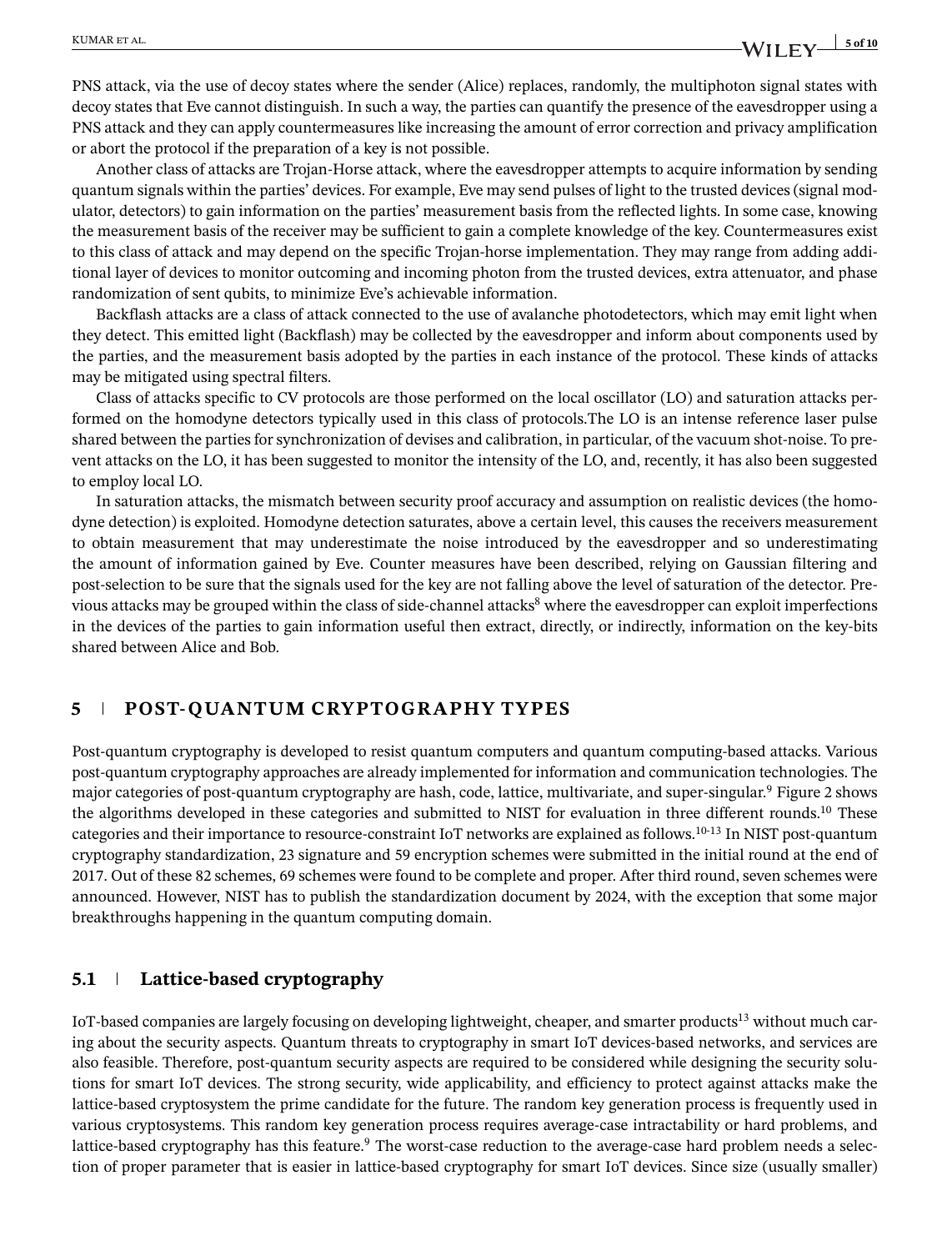PNS attack, via the use of decoy states where the sender (Alice) replaces, randomly, the multiphoton signal states with decoy states that Eve cannot distinguish. In such a way, the parties can quantify the presence of the eavesdropper using a PNS attack and they can apply countermeasures like increasing the amount of error correction and privacy amplification or abort the protocol if the preparation of a key is not possible.

Another class of attacks are Trojan-Horse attack, where the eavesdropper attempts to acquire information by sending quantum signals within the parties' devices. For example, Eve may send pulses of light to the trusted devices (signal modulator, detectors) to gain information on the parties' measurement basis from the reflected lights. In some case, knowing the measurement basis of the receiver may be sufficient to gain a complete knowledge of the key. Countermeasures exist to this class of attack and may depend on the specific Trojan-horse implementation. They may range from adding additional layer of devices to monitor outcoming and incoming photon from the trusted devices, extra attenuator, and phase randomization of sent qubits, to minimize Eve's achievable information.

Backflash attacks are a class of attack connected to the use of avalanche photodetectors, which may emit light when they detect. This emitted light (Backflash) may be collected by the eavesdropper and inform about components used by the parties, and the measurement basis adopted by the parties in each instance of the protocol. These kinds of attacks may be mitigated using spectral filters.

Class of attacks specific to CV protocols are those performed on the local oscillator (LO) and saturation attacks performed on the homodyne detectors typically used in this class of protocols.The LO is an intense reference laser pulse shared between the parties for synchronization of devises and calibration, in particular, of the vacuum shot-noise. To prevent attacks on the LO, it has been suggested to monitor the intensity of the LO, and, recently, it has also been suggested to employ local LO.

In saturation attacks, the mismatch between security proof accuracy and assumption on realistic devices (the homodyne detection) is exploited. Homodyne detection saturates, above a certain level, this causes the receivers measurement to obtain measurement that may underestimate the noise introduced by the eavesdropper and so underestimating the amount of information gained by Eve. Counter measures have been described, relying on Gaussian filtering and post-selection to be sure that the signals used for the key are not falling above the level of saturation of the detector. Previous attacks may be grouped within the class of side-channel attacks<sup>8</sup> where the eavesdropper can exploit imperfections in the devices of the parties to gain information useful then extract, directly, or indirectly, information on the key-bits shared between Alice and Bob.

## **5 POST- QUANTUM CRYPTOGRAPHY TYPES**

Post-quantum cryptography is developed to resist quantum computers and quantum computing-based attacks. Various post-quantum cryptography approaches are already implemented for information and communication technologies. The major categories of post-quantum cryptography are hash, code, lattice, multivariate, and super-singular.9 Figure 2 shows the algorithms developed in these categories and submitted to NIST for evaluation in three different rounds.10 These categories and their importance to resource-constraint IoT networks are explained as follows.10-13 In NIST post-quantum cryptography standardization, 23 signature and 59 encryption schemes were submitted in the initial round at the end of 2017. Out of these 82 schemes, 69 schemes were found to be complete and proper. After third round, seven schemes were announced. However, NIST has to publish the standardization document by 2024, with the exception that some major breakthroughs happening in the quantum computing domain.

## **5.1 Lattice-based cryptography**

IoT-based companies are largely focusing on developing lightweight, cheaper, and smarter products<sup>13</sup> without much caring about the security aspects. Quantum threats to cryptography in smart IoT devices-based networks, and services are also feasible. Therefore, post-quantum security aspects are required to be considered while designing the security solutions for smart IoT devices. The strong security, wide applicability, and efficiency to protect against attacks make the lattice-based cryptosystem the prime candidate for the future. The random key generation process is frequently used in various cryptosystems. This random key generation process requires average-case intractability or hard problems, and lattice-based cryptography has this feature.<sup>9</sup> The worst-case reduction to the average-case hard problem needs a selection of proper parameter that is easier in lattice-based cryptography for smart IoT devices. Since size (usually smaller)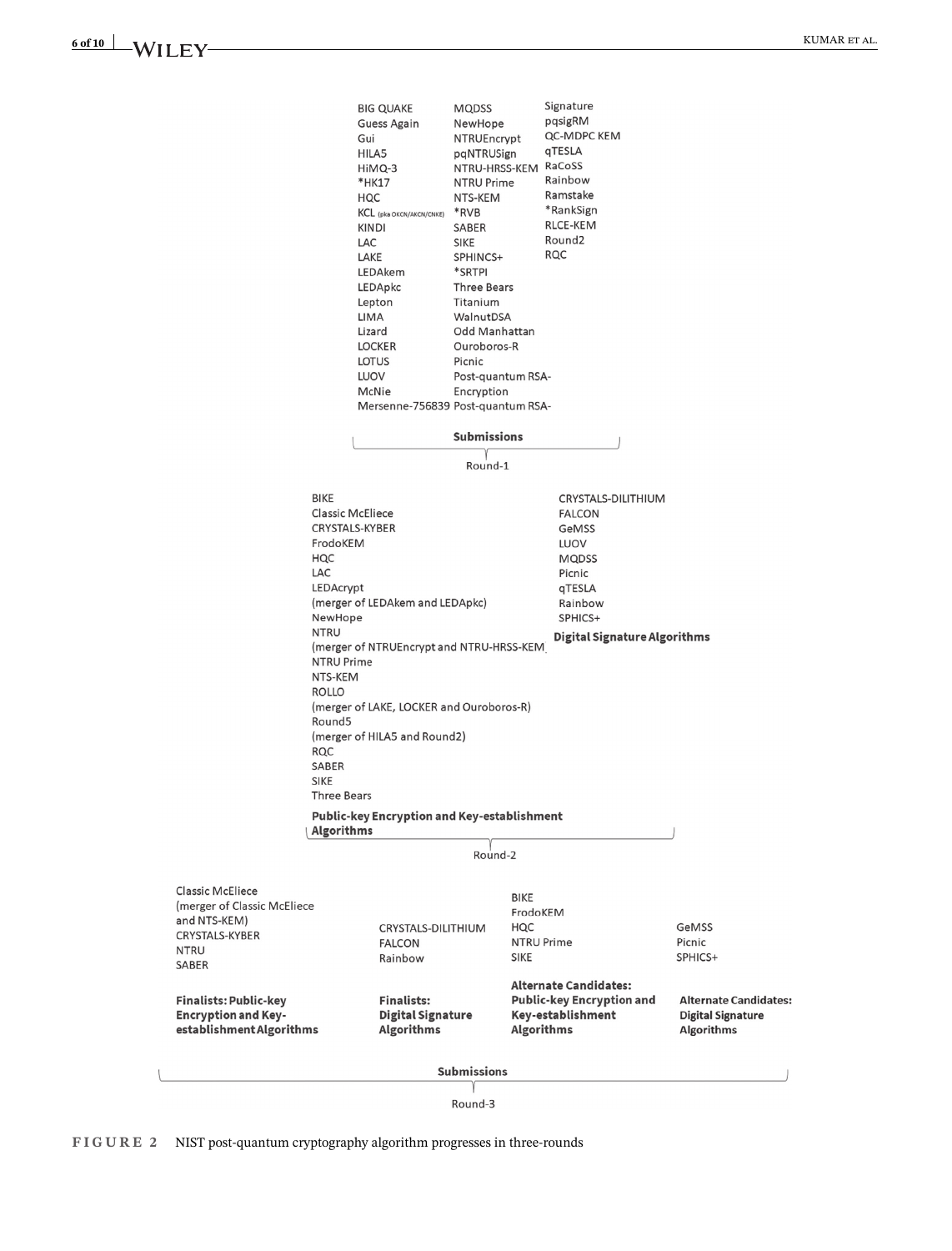| <b>CRYSTALS-KYBER</b><br><b>NTRU</b><br><b>SABER</b><br><b>Finalists: Public-key</b><br>Encryption and Key-<br>establishment Algorithms |                                                  | <b>Finalists:</b><br><b>Digital Signature</b><br><b>Algorithms</b> |                                             | <b>Alternate Candidates:</b><br>Public-key Encryption and<br>Key-establishment<br><b>Algorithms</b> | <b>Alternate Candidates:</b><br><b>Digital Signature</b><br><b>Algorithms</b> |  |  |
|-----------------------------------------------------------------------------------------------------------------------------------------|--------------------------------------------------|--------------------------------------------------------------------|---------------------------------------------|-----------------------------------------------------------------------------------------------------|-------------------------------------------------------------------------------|--|--|
|                                                                                                                                         |                                                  |                                                                    |                                             |                                                                                                     |                                                                               |  |  |
|                                                                                                                                         |                                                  | Rainbow                                                            | <b>SIKE</b>                                 |                                                                                                     | SPHICS+                                                                       |  |  |
|                                                                                                                                         |                                                  | FALCON                                                             |                                             | <b>NTRU Prime</b>                                                                                   | Picnic                                                                        |  |  |
|                                                                                                                                         |                                                  | CRYSTALS-DILITHIUM                                                 | HQC                                         |                                                                                                     | GeMSS                                                                         |  |  |
| (merger of Classic McEliece<br>and NTS-KEM)                                                                                             |                                                  |                                                                    |                                             | FrodoKEM                                                                                            |                                                                               |  |  |
| Classic McEliece                                                                                                                        |                                                  |                                                                    | <b>BIKE</b>                                 |                                                                                                     |                                                                               |  |  |
|                                                                                                                                         |                                                  |                                                                    | Round-2                                     |                                                                                                     |                                                                               |  |  |
|                                                                                                                                         | <b>Algorithms</b>                                |                                                                    | Public-key Encryption and Key-establishment |                                                                                                     |                                                                               |  |  |
|                                                                                                                                         | <b>Three Bears</b>                               |                                                                    |                                             |                                                                                                     |                                                                               |  |  |
|                                                                                                                                         | <b>SIKE</b>                                      |                                                                    |                                             |                                                                                                     |                                                                               |  |  |
|                                                                                                                                         | SABER                                            |                                                                    |                                             |                                                                                                     |                                                                               |  |  |
|                                                                                                                                         | RQC                                              | (merger of HILA5 and Round2)                                       |                                             |                                                                                                     |                                                                               |  |  |
|                                                                                                                                         | Round5                                           |                                                                    |                                             |                                                                                                     |                                                                               |  |  |
|                                                                                                                                         |                                                  |                                                                    | (merger of LAKE, LOCKER and Ouroboros-R)    |                                                                                                     |                                                                               |  |  |
|                                                                                                                                         | NTS-KEM<br><b>ROLLO</b>                          |                                                                    |                                             |                                                                                                     |                                                                               |  |  |
|                                                                                                                                         | <b>NTRU Prime</b>                                |                                                                    |                                             |                                                                                                     |                                                                               |  |  |
|                                                                                                                                         | <b>NTRU</b>                                      |                                                                    | (merger of NTRUEncrypt and NTRU-HRSS-KEM)   | Digital Signature Algorithms                                                                        |                                                                               |  |  |
|                                                                                                                                         | NewHope                                          |                                                                    |                                             |                                                                                                     |                                                                               |  |  |
|                                                                                                                                         |                                                  | (merger of LEDAkem and LEDApkc)                                    |                                             | Rainbow                                                                                             | <b>MQDSS</b><br>Picnic<br>qTESLA                                              |  |  |
|                                                                                                                                         | LAC<br>LEDAcrypt                                 |                                                                    |                                             |                                                                                                     |                                                                               |  |  |
|                                                                                                                                         | HQC                                              |                                                                    |                                             |                                                                                                     |                                                                               |  |  |
|                                                                                                                                         | FrodoKEM                                         |                                                                    |                                             | <b>LUOV</b>                                                                                         |                                                                               |  |  |
|                                                                                                                                         | <b>Classic McEliece</b><br><b>CRYSTALS-KYBER</b> |                                                                    |                                             | <b>FALCON</b><br>GeMSS                                                                              |                                                                               |  |  |
|                                                                                                                                         | <b>BIKE</b>                                      |                                                                    |                                             | CRYSTALS-DILITHIUM                                                                                  |                                                                               |  |  |
|                                                                                                                                         |                                                  |                                                                    | Round-1                                     |                                                                                                     |                                                                               |  |  |
|                                                                                                                                         |                                                  |                                                                    |                                             |                                                                                                     |                                                                               |  |  |
|                                                                                                                                         |                                                  |                                                                    | <b>Submissions</b>                          |                                                                                                     |                                                                               |  |  |
|                                                                                                                                         |                                                  | Mersenne-756839 Post-quantum RSA-                                  |                                             |                                                                                                     |                                                                               |  |  |
|                                                                                                                                         | LUOV<br>McNie                                    |                                                                    | Post-quantum RSA-<br>Encryption             |                                                                                                     |                                                                               |  |  |
|                                                                                                                                         | LOTUS                                            |                                                                    | Picnic                                      |                                                                                                     |                                                                               |  |  |
|                                                                                                                                         |                                                  | <b>LOCKER</b>                                                      | Ouroboros-R                                 |                                                                                                     |                                                                               |  |  |
|                                                                                                                                         | <b>LIMA</b><br>Lizard                            |                                                                    | WalnutDSA<br>Odd Manhattan                  |                                                                                                     |                                                                               |  |  |
|                                                                                                                                         |                                                  | Lepton                                                             | Titanium                                    |                                                                                                     |                                                                               |  |  |
|                                                                                                                                         |                                                  | LEDApkc                                                            | <b>Three Bears</b>                          |                                                                                                     |                                                                               |  |  |
|                                                                                                                                         | LAKE                                             | LEDAkem                                                            | SPHINCS+<br>*SRTPI                          | RQC                                                                                                 |                                                                               |  |  |
|                                                                                                                                         | LAC                                              |                                                                    | <b>SIKE</b>                                 | Round <sub>2</sub>                                                                                  |                                                                               |  |  |
|                                                                                                                                         | KINDI                                            | KCL (pka OKCN/AKCN/CNKE)                                           | *RVB<br>SABER                               | *RankSign<br>RLCE-KEM                                                                               |                                                                               |  |  |
|                                                                                                                                         | HQC                                              |                                                                    | NTS-KEM                                     | Ramstake                                                                                            |                                                                               |  |  |
|                                                                                                                                         | *HK17                                            |                                                                    | <b>NTRU Prime</b>                           | Rainbow                                                                                             |                                                                               |  |  |
|                                                                                                                                         | HILA5                                            | HiMQ-3                                                             | pqNTRUSign<br>NTRU-HRSS-KEM RaCoSS          | qTESLA                                                                                              |                                                                               |  |  |
|                                                                                                                                         | Gui                                              |                                                                    | NTRUEncrypt                                 | QC-MDPC KEM                                                                                         |                                                                               |  |  |
|                                                                                                                                         |                                                  |                                                                    |                                             |                                                                                                     |                                                                               |  |  |
|                                                                                                                                         |                                                  |                                                                    |                                             |                                                                                                     |                                                                               |  |  |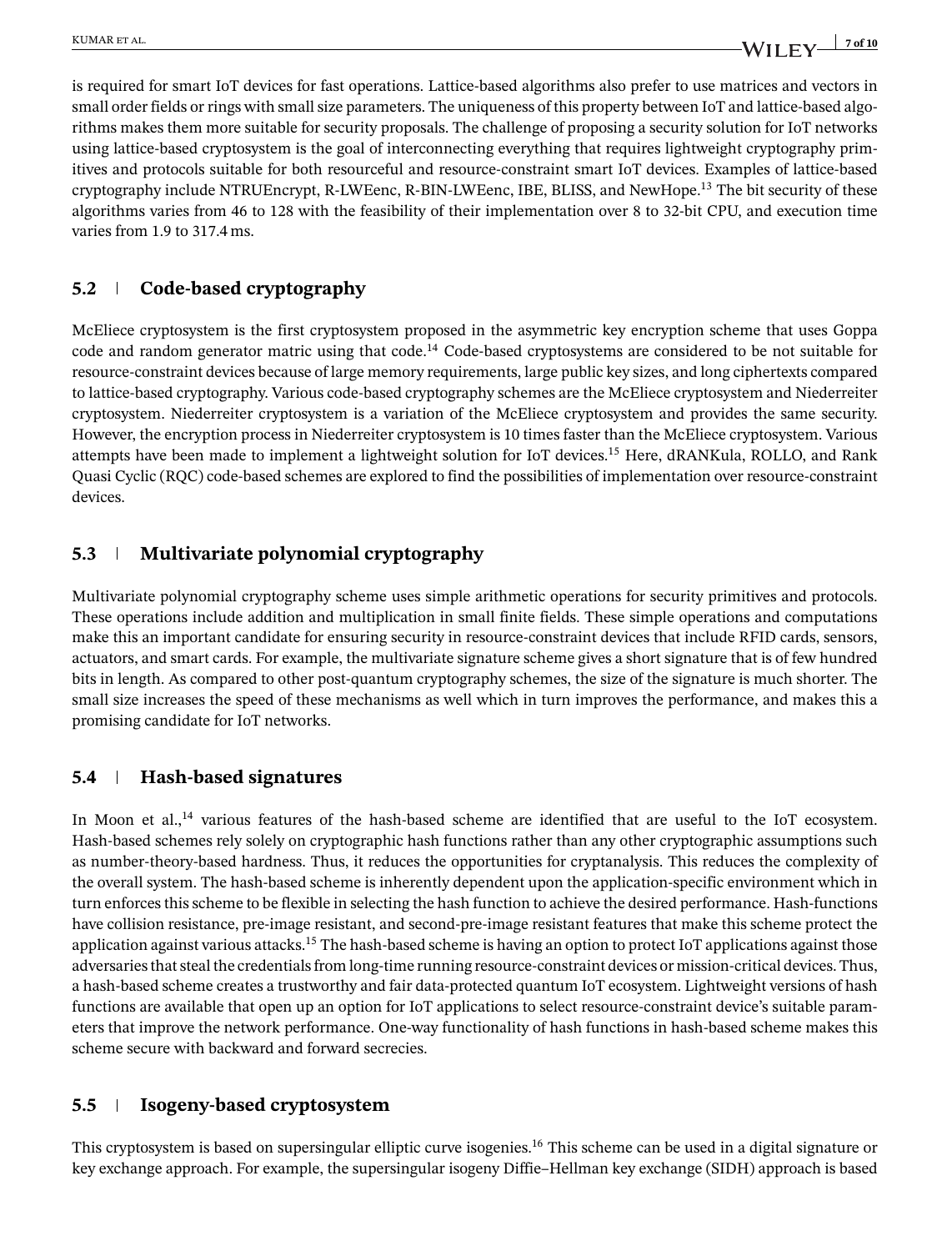is required for smart IoT devices for fast operations. Lattice-based algorithms also prefer to use matrices and vectors in small order fields or rings with small size parameters. The uniqueness of this property between IoT and lattice-based algorithms makes them more suitable for security proposals. The challenge of proposing a security solution for IoT networks using lattice-based cryptosystem is the goal of interconnecting everything that requires lightweight cryptography primitives and protocols suitable for both resourceful and resource-constraint smart IoT devices. Examples of lattice-based cryptography include NTRUEncrypt, R-LWEenc, R-BIN-LWEenc, IBE, BLISS, and NewHope.<sup>13</sup> The bit security of these algorithms varies from 46 to 128 with the feasibility of their implementation over 8 to 32-bit CPU, and execution time varies from 1.9 to 317.4 ms.

## **5.2 Code-based cryptography**

McEliece cryptosystem is the first cryptosystem proposed in the asymmetric key encryption scheme that uses Goppa code and random generator matric using that code.<sup>14</sup> Code-based cryptosystems are considered to be not suitable for resource-constraint devices because of large memory requirements, large public key sizes, and long ciphertexts compared to lattice-based cryptography. Various code-based cryptography schemes are the McEliece cryptosystem and Niederreiter cryptosystem. Niederreiter cryptosystem is a variation of the McEliece cryptosystem and provides the same security. However, the encryption process in Niederreiter cryptosystem is 10 times faster than the McEliece cryptosystem. Various attempts have been made to implement a lightweight solution for IoT devices.15 Here, dRANKula, ROLLO, and Rank Quasi Cyclic (RQC) code-based schemes are explored to find the possibilities of implementation over resource-constraint devices.

# **5.3 Multivariate polynomial cryptography**

Multivariate polynomial cryptography scheme uses simple arithmetic operations for security primitives and protocols. These operations include addition and multiplication in small finite fields. These simple operations and computations make this an important candidate for ensuring security in resource-constraint devices that include RFID cards, sensors, actuators, and smart cards. For example, the multivariate signature scheme gives a short signature that is of few hundred bits in length. As compared to other post-quantum cryptography schemes, the size of the signature is much shorter. The small size increases the speed of these mechanisms as well which in turn improves the performance, and makes this a promising candidate for IoT networks.

## **5.4 Hash-based signatures**

In Moon et al.,<sup>14</sup> various features of the hash-based scheme are identified that are useful to the IoT ecosystem. Hash-based schemes rely solely on cryptographic hash functions rather than any other cryptographic assumptions such as number-theory-based hardness. Thus, it reduces the opportunities for cryptanalysis. This reduces the complexity of the overall system. The hash-based scheme is inherently dependent upon the application-specific environment which in turn enforces this scheme to be flexible in selecting the hash function to achieve the desired performance. Hash-functions have collision resistance, pre-image resistant, and second-pre-image resistant features that make this scheme protect the application against various attacks.<sup>15</sup> The hash-based scheme is having an option to protect IoT applications against those adversaries that steal the credentials from long-time running resource-constraint devices or mission-critical devices. Thus, a hash-based scheme creates a trustworthy and fair data-protected quantum IoT ecosystem. Lightweight versions of hash functions are available that open up an option for IoT applications to select resource-constraint device's suitable parameters that improve the network performance. One-way functionality of hash functions in hash-based scheme makes this scheme secure with backward and forward secrecies.

## **5.5 Isogeny-based cryptosystem**

This cryptosystem is based on supersingular elliptic curve isogenies.16 This scheme can be used in a digital signature or key exchange approach. For example, the supersingular isogeny Diffie–Hellman key exchange (SIDH) approach is based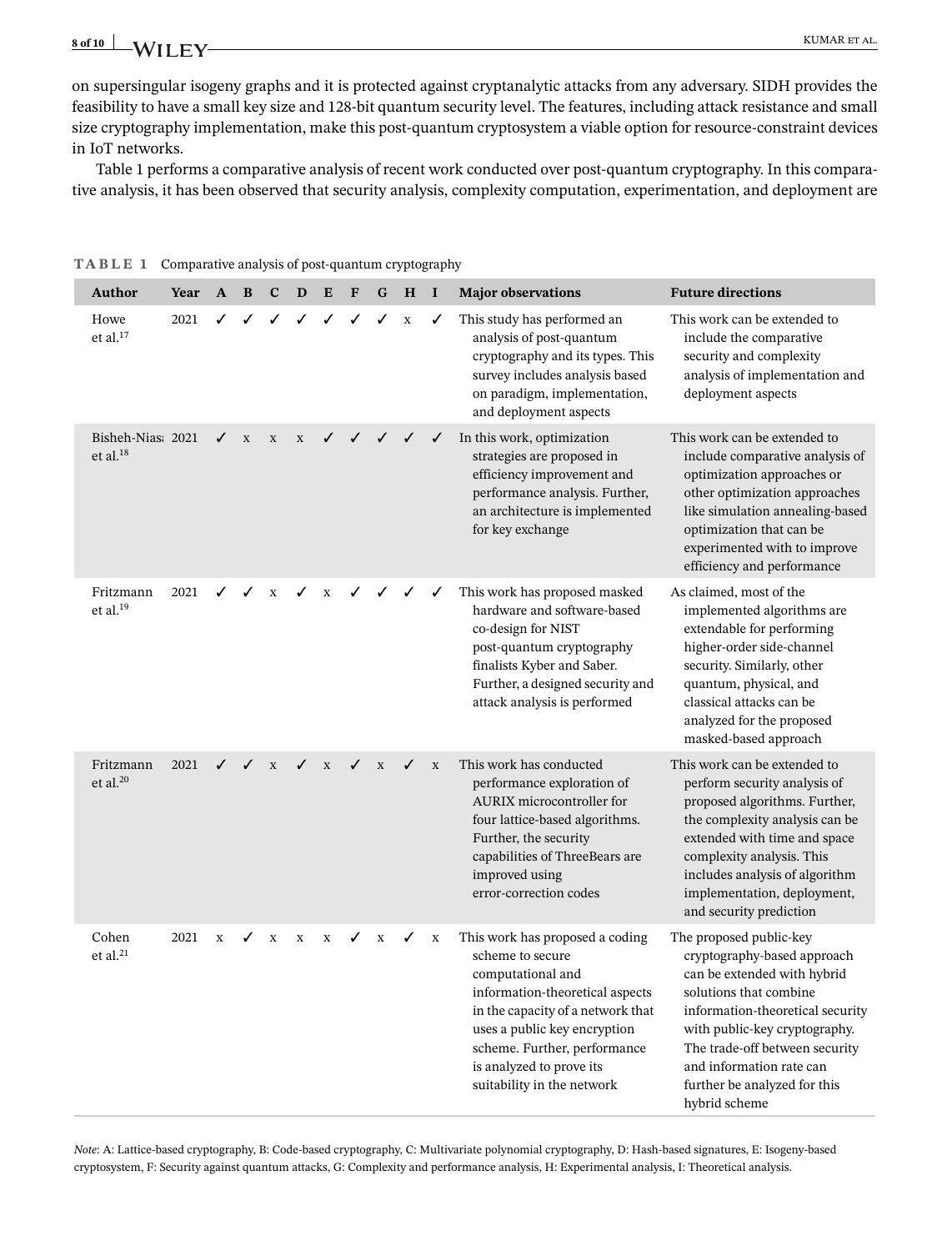## **8 of 10 M/H EXTERGALLY EXTERNAL EXTERNAL EXTERNAL EXTERNAL EXTERNAL EXTERNAL EXTERNAL EXTERNAL EXTERNAL EXTENSION**

on supersingular isogeny graphs and it is protected against cryptanalytic attacks from any adversary. SIDH provides the feasibility to have a small key size and 128-bit quantum security level. The features, including attack resistance and small size cryptography implementation, make this post-quantum cryptosystem a viable option for resource-constraint devices in IoT networks.

Table 1 performs a comparative analysis of recent work conducted over post-quantum cryptography. In this comparative analysis, it has been observed that security analysis, complexity computation, experimentation, and deployment are

| Author                              | Year | $\mathbf{A}$ | B            | $\mathbf{C}$ | D            | E                        | F            | G            | H           | $\bf{I}$    | <b>Major observations</b>                                                                                                                                                                                                                                                  | <b>Future directions</b>                                                                                                                                                                                                                                                                            |
|-------------------------------------|------|--------------|--------------|--------------|--------------|--------------------------|--------------|--------------|-------------|-------------|----------------------------------------------------------------------------------------------------------------------------------------------------------------------------------------------------------------------------------------------------------------------------|-----------------------------------------------------------------------------------------------------------------------------------------------------------------------------------------------------------------------------------------------------------------------------------------------------|
| Howe<br>et al. $17$                 | 2021 | ✓            | $\checkmark$ | $\checkmark$ | $\checkmark$ | $\checkmark$             | $\checkmark$ | $\checkmark$ | $\mathbf X$ | ✓           | This study has performed an<br>analysis of post-quantum<br>cryptography and its types. This<br>survey includes analysis based<br>on paradigm, implementation,<br>and deployment aspects                                                                                    | This work can be extended to<br>include the comparative<br>security and complexity<br>analysis of implementation and<br>deployment aspects                                                                                                                                                          |
| Bisheh-Nias: 2021<br>et al. $^{18}$ |      | $\checkmark$ | X            | $\mathbf X$  | $\mathbf X$  | $\overline{\mathcal{L}}$ |              |              |             | ✓           | In this work, optimization<br>strategies are proposed in<br>efficiency improvement and<br>performance analysis. Further,<br>an architecture is implemented<br>for key exchange                                                                                             | This work can be extended to<br>include comparative analysis of<br>optimization approaches or<br>other optimization approaches<br>like simulation annealing-based<br>optimization that can be<br>experimented with to improve<br>efficiency and performance                                         |
| Fritzmann<br>et al. $^{19}$         | 2021 | ✓            | ✓            | $\mathbf x$  |              | $\mathbf x$              |              |              |             |             | This work has proposed masked<br>hardware and software-based<br>co-design for NIST<br>post-quantum cryptography<br>finalists Kyber and Saber.<br>Further, a designed security and<br>attack analysis is performed                                                          | As claimed, most of the<br>implemented algorithms are<br>extendable for performing<br>higher-order side-channel<br>security. Similarly, other<br>quantum, physical, and<br>classical attacks can be<br>analyzed for the proposed<br>masked-based approach                                           |
| Fritzmann<br>et al. $20$            | 2021 |              |              | $\mathbf{x}$ |              | $\mathbf{x}$             |              | $\mathbf{x}$ |             | $\mathbf x$ | This work has conducted<br>performance exploration of<br>AURIX microcontroller for<br>four lattice-based algorithms.<br>Further, the security<br>capabilities of ThreeBears are<br>improved using<br>error-correction codes                                                | This work can be extended to<br>perform security analysis of<br>proposed algorithms. Further,<br>the complexity analysis can be<br>extended with time and space<br>complexity analysis. This<br>includes analysis of algorithm<br>implementation, deployment,<br>and security prediction            |
| Cohen<br>et al. $21$                | 2021 | $\mathbf X$  | ✓            | $\mathbf X$  | $\mathbf X$  | $\mathbf X$              |              | X            |             | $\mathbf X$ | This work has proposed a coding<br>scheme to secure<br>computational and<br>information-theoretical aspects<br>in the capacity of a network that<br>uses a public key encryption<br>scheme. Further, performance<br>is analyzed to prove its<br>suitability in the network | The proposed public-key<br>cryptography-based approach<br>can be extended with hybrid<br>solutions that combine<br>information-theoretical security<br>with public-key cryptography.<br>The trade-off between security<br>and information rate can<br>further be analyzed for this<br>hybrid scheme |

**TABLE 1** Comparative analysis of post-quantum cryptography

*Note*: A: Lattice-based cryptography, B: Code-based cryptography, C: Multivariate polynomial cryptography, D: Hash-based signatures, E: Isogeny-based cryptosystem, F: Security against quantum attacks, G: Complexity and performance analysis, H: Experimental analysis, I: Theoretical analysis.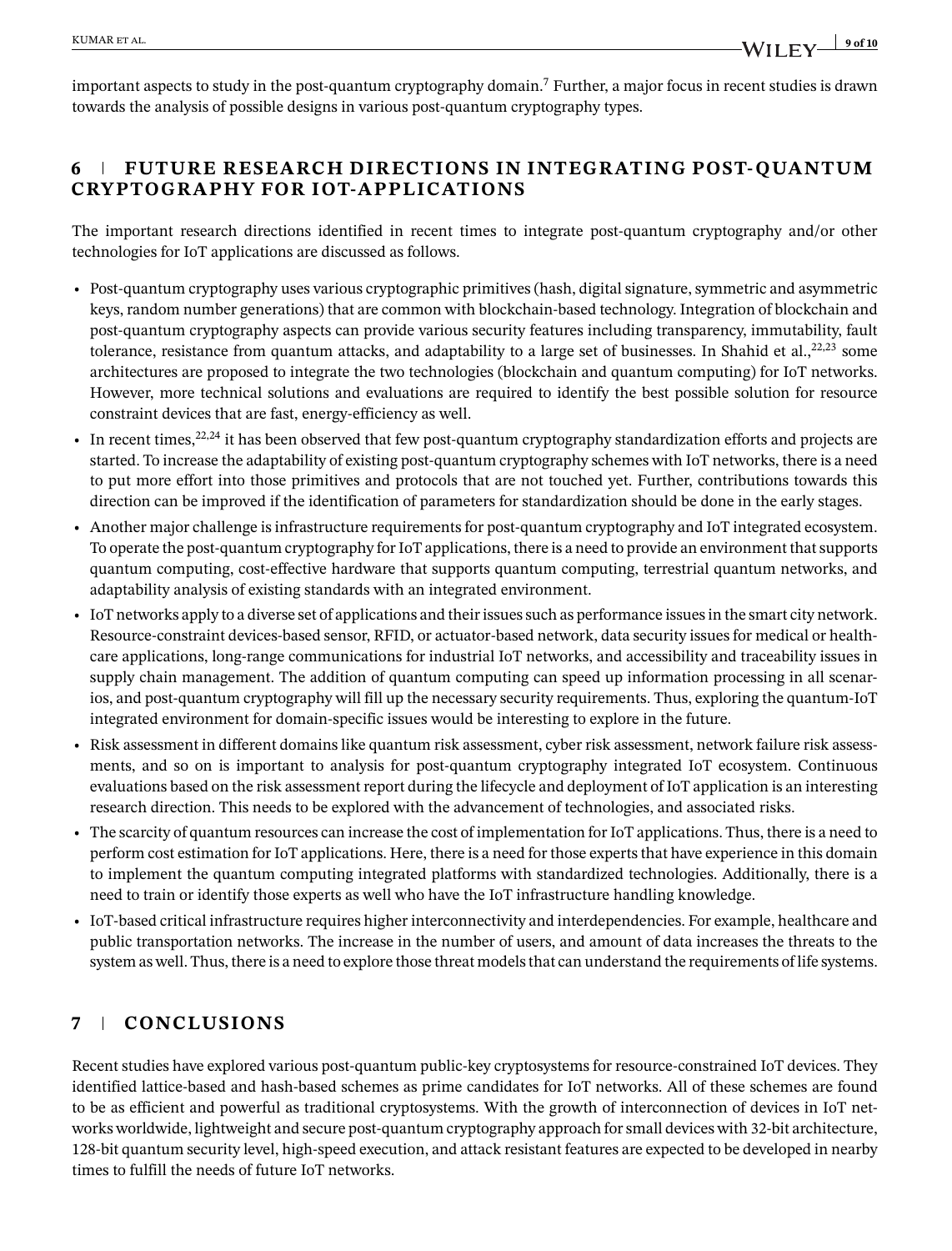important aspects to study in the post-quantum cryptography domain.7 Further, a major focus in recent studies is drawn towards the analysis of possible designs in various post-quantum cryptography types.

## **6 FUTURE RESEARCH DIRECTIONS IN INTEGRATING POST- QUANTUM CRYPTOGRAPHY FOR IOT-APPLICATIONS**

The important research directions identified in recent times to integrate post-quantum cryptography and/or other technologies for IoT applications are discussed as follows.

- **•** Post-quantum cryptography uses various cryptographic primitives (hash, digital signature, symmetric and asymmetric keys, random number generations) that are common with blockchain-based technology. Integration of blockchain and post-quantum cryptography aspects can provide various security features including transparency, immutability, fault tolerance, resistance from quantum attacks, and adaptability to a large set of businesses. In Shahid et al., $22,23$  some architectures are proposed to integrate the two technologies (blockchain and quantum computing) for IoT networks. However, more technical solutions and evaluations are required to identify the best possible solution for resource constraint devices that are fast, energy-efficiency as well.
- In recent times,<sup>22,24</sup> it has been observed that few post-quantum cryptography standardization efforts and projects are started. To increase the adaptability of existing post-quantum cryptography schemes with IoT networks, there is a need to put more effort into those primitives and protocols that are not touched yet. Further, contributions towards this direction can be improved if the identification of parameters for standardization should be done in the early stages.
- **•** Another major challenge is infrastructure requirements for post-quantum cryptography and IoT integrated ecosystem. To operate the post-quantum cryptography for IoT applications, there is a need to provide an environment that supports quantum computing, cost-effective hardware that supports quantum computing, terrestrial quantum networks, and adaptability analysis of existing standards with an integrated environment.
- **•** IoT networks apply to a diverse set of applications and their issues such as performance issues in the smart city network. Resource-constraint devices-based sensor, RFID, or actuator-based network, data security issues for medical or healthcare applications, long-range communications for industrial IoT networks, and accessibility and traceability issues in supply chain management. The addition of quantum computing can speed up information processing in all scenarios, and post-quantum cryptography will fill up the necessary security requirements. Thus, exploring the quantum-IoT integrated environment for domain-specific issues would be interesting to explore in the future.
- **•** Risk assessment in different domains like quantum risk assessment, cyber risk assessment, network failure risk assessments, and so on is important to analysis for post-quantum cryptography integrated IoT ecosystem. Continuous evaluations based on the risk assessment report during the lifecycle and deployment of IoT application is an interesting research direction. This needs to be explored with the advancement of technologies, and associated risks.
- **•** The scarcity of quantum resources can increase the cost of implementation for IoT applications. Thus, there is a need to perform cost estimation for IoT applications. Here, there is a need for those experts that have experience in this domain to implement the quantum computing integrated platforms with standardized technologies. Additionally, there is a need to train or identify those experts as well who have the IoT infrastructure handling knowledge.
- **•** IoT-based critical infrastructure requires higher interconnectivity and interdependencies. For example, healthcare and public transportation networks. The increase in the number of users, and amount of data increases the threats to the system as well. Thus, there is a need to explore those threat models that can understand the requirements of life systems.

# **7 CONCLUSIONS**

Recent studies have explored various post-quantum public-key cryptosystems for resource-constrained IoT devices. They identified lattice-based and hash-based schemes as prime candidates for IoT networks. All of these schemes are found to be as efficient and powerful as traditional cryptosystems. With the growth of interconnection of devices in IoT networks worldwide, lightweight and secure post-quantum cryptography approach for small devices with 32-bit architecture, 128-bit quantum security level, high-speed execution, and attack resistant features are expected to be developed in nearby times to fulfill the needs of future IoT networks.